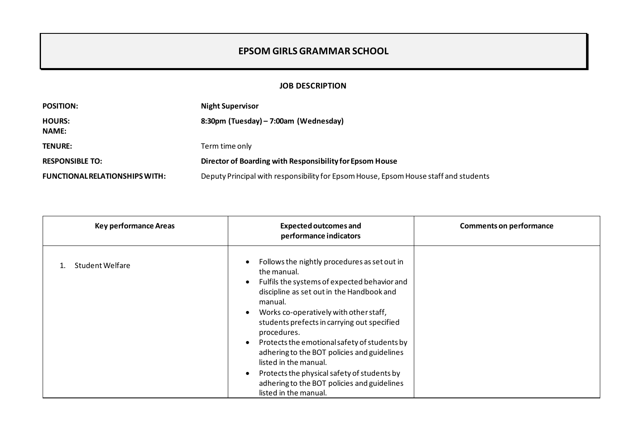## **EPSOM GIRLS GRAMMAR SCHOOL**

## **JOB DESCRIPTION**

| <b>POSITION:</b>               | <b>Night Supervisor</b>                                                              |
|--------------------------------|--------------------------------------------------------------------------------------|
| <b>HOURS:</b><br><b>NAME:</b>  | 8:30pm (Tuesday) – 7:00am (Wednesday)                                                |
| <b>TENURE:</b>                 | Term time only                                                                       |
| <b>RESPONSIBLE TO:</b>         | Director of Boarding with Responsibility for Epsom House                             |
| FUNCTIONAL RELATIONSHIPS WITH: | Deputy Principal with responsibility for Epsom House, Epsom House staff and students |

| <b>Key performance Areas</b> | <b>Expected outcomes and</b><br>performance indicators                                                                                                                                                                                                                                                                                                                                                                                                                                                                                                                         | <b>Comments on performance</b> |
|------------------------------|--------------------------------------------------------------------------------------------------------------------------------------------------------------------------------------------------------------------------------------------------------------------------------------------------------------------------------------------------------------------------------------------------------------------------------------------------------------------------------------------------------------------------------------------------------------------------------|--------------------------------|
| Student Welfare              | Follows the nightly procedures as set out in<br>the manual.<br>Fulfils the systems of expected behavior and<br>$\bullet$<br>discipline as set out in the Handbook and<br>manual.<br>Works co-operatively with other staff,<br>$\bullet$<br>students prefects in carrying out specified<br>procedures.<br>Protects the emotional safety of students by<br>$\bullet$<br>adhering to the BOT policies and guidelines<br>listed in the manual.<br>Protects the physical safety of students by<br>$\bullet$<br>adhering to the BOT policies and guidelines<br>listed in the manual. |                                |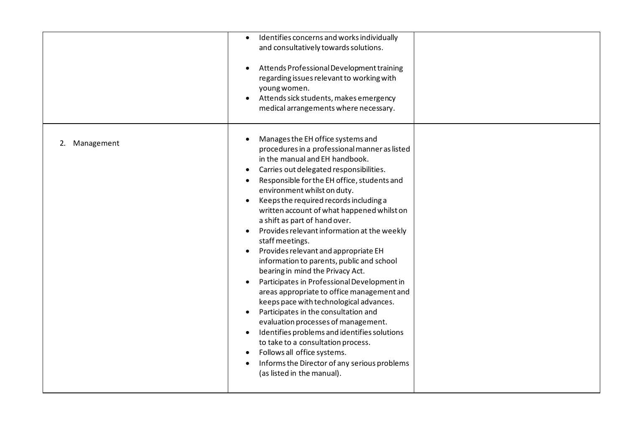|                  | Identifies concerns and works individually<br>$\bullet$<br>and consultatively towards solutions.<br>Attends Professional Development training<br>regarding issues relevant to working with<br>young women.<br>Attends sick students, makes emergency<br>medical arrangements where necessary.                                                                                                                                                                                                                                                                                                                                                                                                                                                                                                                                                                                                                                                                                                                                                   |  |
|------------------|-------------------------------------------------------------------------------------------------------------------------------------------------------------------------------------------------------------------------------------------------------------------------------------------------------------------------------------------------------------------------------------------------------------------------------------------------------------------------------------------------------------------------------------------------------------------------------------------------------------------------------------------------------------------------------------------------------------------------------------------------------------------------------------------------------------------------------------------------------------------------------------------------------------------------------------------------------------------------------------------------------------------------------------------------|--|
| Management<br>2. | Manages the EH office systems and<br>procedures in a professional manner as listed<br>in the manual and EH handbook.<br>Carries out delegated responsibilities.<br>Responsible for the EH office, students and<br>environment whilst on duty.<br>Keeps the required records including a<br>$\bullet$<br>written account of what happened whilst on<br>a shift as part of hand over.<br>Provides relevant information at the weekly<br>$\bullet$<br>staff meetings.<br>Provides relevant and appropriate EH<br>information to parents, public and school<br>bearing in mind the Privacy Act.<br>Participates in Professional Development in<br>areas appropriate to office management and<br>keeps pace with technological advances.<br>Participates in the consultation and<br>$\bullet$<br>evaluation processes of management.<br>Identifies problems and identifies solutions<br>$\bullet$<br>to take to a consultation process.<br>Follows all office systems.<br>Informs the Director of any serious problems<br>(as listed in the manual). |  |